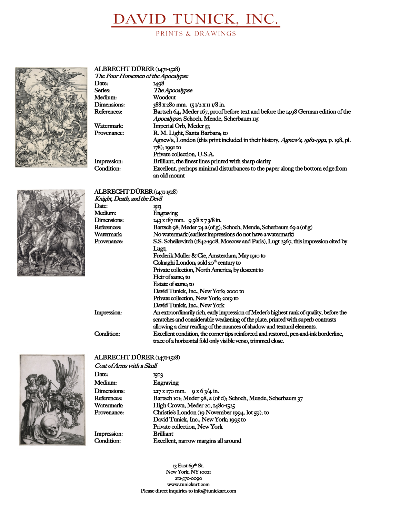# DAVID TUNICK, INC.

PRINTS & DRAWINGS



| ALBRECHT DÜRER (1471-1528)          |                                                                                        |
|-------------------------------------|----------------------------------------------------------------------------------------|
| The Four Horsemen of the Apocalypse |                                                                                        |
| Date:                               | 1408                                                                                   |
| Series:                             | The Apocalypse                                                                         |
| Medium:                             | Woodcut                                                                                |
| Dimensions:                         | $388 \times 28$ o mm. 15 $\frac{1}{2} \times 11 \times 8$ in.                          |
| References:                         | Bartsch 64, Meder 167, proof before text and before the 1498 German edition of the     |
|                                     | Apocalypse, Schoch, Mende, Scherbaum II5                                               |
| Watermark:                          | Imperial Orb, Meder 53                                                                 |
| Provenance:                         | R. M. Light, Santa Barbara, to                                                         |
|                                     | Agnew's, London (this print included in their history, Agnew's, 1982-1992, p. 198, pl. |
|                                     | $178$ ; 1991 to                                                                        |
|                                     | Private collection, U.S.A.                                                             |
| Impression:                         | Brilliant, the finest lines printed with sharp clarity                                 |
| Condition:                          | Excellent, perhaps minimal disturbances to the paper along the bottom edge from        |
|                                     | an old mount                                                                           |



### ALBRECHT DÜRER (1471-1528)

| Knight, Death, and the Devil |                                                                                          |  |
|------------------------------|------------------------------------------------------------------------------------------|--|
| Date:                        | 1513                                                                                     |  |
| Medium:                      | Engraving                                                                                |  |
| Dimensions:                  | $243 \times 187$ mm. $95/8 \times 73/8$ in.                                              |  |
| References:                  | Bartsch 98; Meder 74 a (of g); Schoch, Mende, Scherbaum 69 a (of g)                      |  |
| Watermark:                   | No watermark (earliest impressions do not have a watermark)                              |  |
| Provenance:                  | S.S. Scheikevitch (1842-1908, Moscow and Paris), Lugt 2367, this impression cited by     |  |
|                              | Lugt,                                                                                    |  |
|                              | Frederik Muller & Cie, Amsterdam, May 1910 to                                            |  |
|                              | Colnaghi London; sold 20 <sup>th</sup> century to                                        |  |
|                              | Private collection, North America, by descent to                                         |  |
|                              | Heir of same, to                                                                         |  |
|                              | Estate of same, to                                                                       |  |
|                              | David Tunick, Inc., New York, 2000 to                                                    |  |
|                              | Private collection, New York, 2019 to                                                    |  |
|                              | David Tunick, Inc., New York                                                             |  |
| Impression:                  | An extraordinarily rich, early impression of Meder's highest rank of quality, before the |  |
|                              | scratches and considerable weakening of the plate, printed with superb contrasts         |  |
|                              | allowing a clear reading of the nuances of shadow and textural elements.                 |  |
| Condition:                   | Excellent condition, the corner tips reinforced and restored, pen-and-ink borderline,    |  |
|                              | trace of a horizontal fold only visible verso, trimmed close.                            |  |



#### ALBRECHT DÜRER (1471-1528)

| Coat of Arms with a Skull |                                                              |
|---------------------------|--------------------------------------------------------------|
| Date:                     | 1503                                                         |
| Medium:                   | Engraving                                                    |
| Dimensions:               | $227 \times 170$ mm. $9 \times 6 \frac{3}{4}$ in.            |
| References:               | Bartsch IOI; Meder 98, a (of d); Schoch, Mende, Scherbaum 37 |
| Watermark:                | High Crown, Meder 20, 1480-1525                              |
| Provenance:               | Christie's London (19 November 1994, lot 59); to             |
|                           | David Tunick, Inc., New York, 1995 to                        |
|                           | Private collection, New York                                 |
| Impression:               | <b>Brilliant</b>                                             |
| Condition:                | Excellent, narrow margins all around                         |

13 East 69<sup>th</sup> St. New York, NY 10021 212-570-0090 www.tunickart.com Please direct inquiries to info@tunickart.com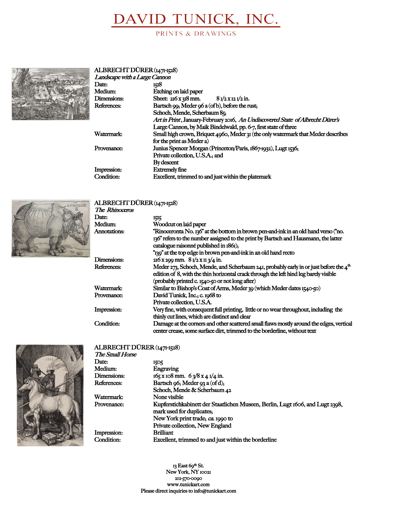# DAVID TUNICK, INC.

PRINTS & DRAWINGS



### ALBRECHT DÜRER (1471-1528)<br>Landscape with a Large Cannon

| Landscape with a Large Cannon |                                                                                   |
|-------------------------------|-----------------------------------------------------------------------------------|
| Date:                         | <b>IKI8</b>                                                                       |
| Medium:                       | Etching on laid paper                                                             |
| Dimensions:                   | Sheet: $216 \times 318$ mm. $81/2 \times 121/2$ in.                               |
| References:                   | Bartsch 99; Meder 96 a (of b), before the rust;                                   |
|                               | Schoch, Mende, Scherbaum 85;                                                      |
|                               | Art in Print, January-February 2016, An Undiscovered State of Albrecht Dürer's    |
|                               | Large Cannon, by Maik Bindelwald, pp. 6-7, first state of three                   |
| Watermark:                    | Small high crown, Briquet 4960, Meder 31 (the only watermark that Meder describes |
|                               | for the print as Meder a)                                                         |
| Provenance:                   | Junius Spencer Morgan (Princeton/Paris, 1867-1932), Lugt 1536;                    |
|                               | Private collection, U.S.A., and                                                   |
|                               | By descent                                                                        |
| Impression:                   | <b>Extremely fine</b>                                                             |
| Condition:                    | Excellent, trimmed to and just within the platemark                               |
|                               |                                                                                   |



### ALBRECHT DÜRER (1471-1528)

| 1515                                                                                                                                                                                                                                |
|-------------------------------------------------------------------------------------------------------------------------------------------------------------------------------------------------------------------------------------|
| Woodcut on laid paper                                                                                                                                                                                                               |
| "Rinoceronta No. 136" at the bottom in brown pen-and-ink in an old hand verso ("no.<br>136" refers to the number assigned to the print by Bartsch and Hausmann, the latter<br>catalogue raisonné published in 1861);                |
| "139" at the top edge in brown pen-and-ink in an old hand recto                                                                                                                                                                     |
| $216 \times 299$ mm. $81/2 \times 113/4$ in.                                                                                                                                                                                        |
| Meder 273, Schoch, Mende, and Scherbaum 241, probably early in or just before the $4th$<br>edition of 8, with the thin horizontal crack through the left hind leg barely visible<br>(probably printed c. 1540-50 or not long after) |
| Similar to Bishop's Coat of Arms, Meder 30 (which Meder dates 1540-50)                                                                                                                                                              |
| David Tunick, Inc., c. 1968 to<br>Private collection, U.S.A.                                                                                                                                                                        |
| Very fine, with consequent full printing, little or no wear throughout, including the<br>thinly cut lines, which are distinct and clear                                                                                             |
| Damage at the corners and other scattered small flaws mostly around the edges, vertical<br>center crease, some surface dirt, trimmed to the borderline, without text                                                                |
|                                                                                                                                                                                                                                     |



#### ALBRECHT DÜRER (1471-1528) The Small Horse

| Date:       | 1505                                                                                                       |
|-------------|------------------------------------------------------------------------------------------------------------|
| Medium:     | Engraving                                                                                                  |
| Dimensions: | $165 \times 108$ mm. $6 \frac{3}{8} \times 4 \frac{1}{4}$ in.                                              |
| References: | Bartsch 96; Meder 93 a (of d);                                                                             |
|             | Schoch, Mende & Scherbaum 42                                                                               |
| Watermark:  | None visible                                                                                               |
| Provenance: | Kupferstichkabinett der Staatlichen Museen, Berlin, Lugt 1606, and Lugt 2398,<br>mark used for duplicates, |
|             | New York print trade; ca. 1990 to                                                                          |
|             | Private collection, New England                                                                            |
| Impression: | <b>Brilliant</b>                                                                                           |
| Condition:  | Excellent, trimmed to and just within the borderline                                                       |
|             |                                                                                                            |

13 East 69<sup>th</sup> St. New York, NY 10021 212-570-0090 www.tunickart.com Please direct inquiries to info@tunickart.com